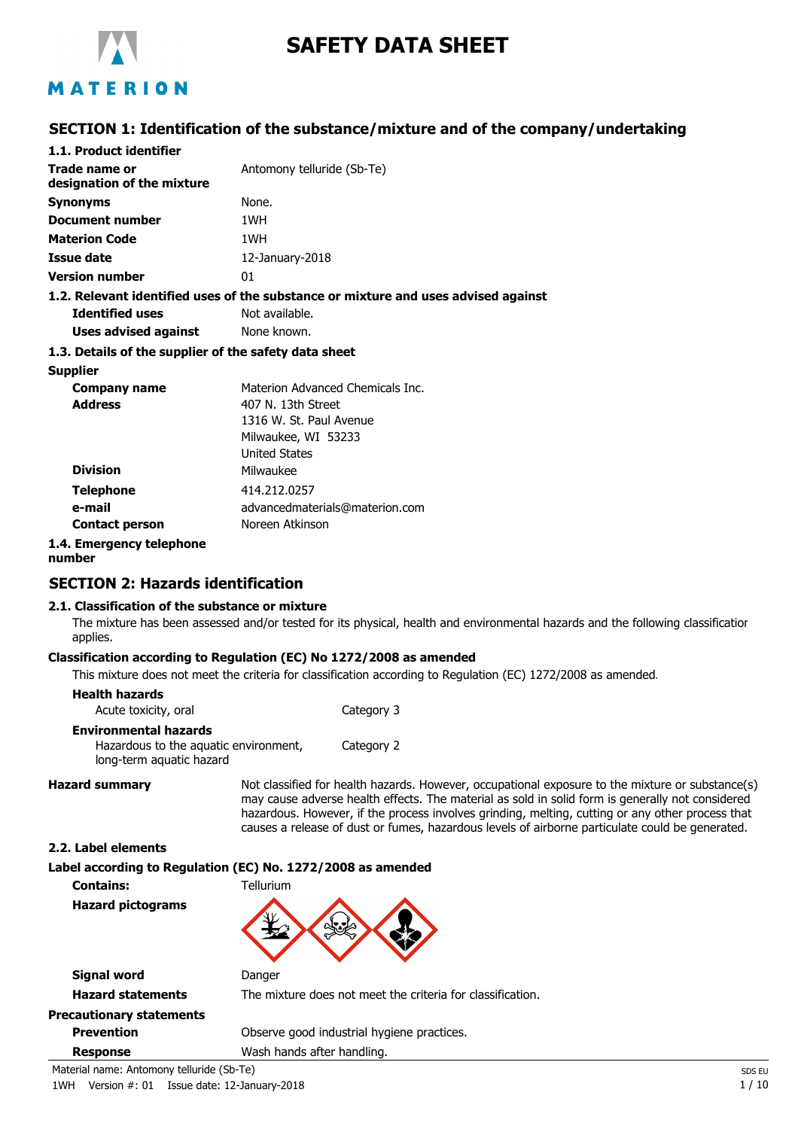

# **SAFETY DATA SHEET**

# MATERION

# **SECTION 1: Identification of the substance/mixture and of the company/undertaking**

| 1.1. Product identifier                               |                                                                                    |
|-------------------------------------------------------|------------------------------------------------------------------------------------|
| Trade name or<br>designation of the mixture           | Antomony telluride (Sb-Te)                                                         |
| <b>Synonyms</b>                                       | None.                                                                              |
| Document number                                       | 1WH                                                                                |
| <b>Materion Code</b>                                  | 1WH                                                                                |
| Issue date                                            | 12-January-2018                                                                    |
| <b>Version number</b>                                 | 01                                                                                 |
|                                                       | 1.2. Relevant identified uses of the substance or mixture and uses advised against |
| <b>Identified uses</b>                                | Not available.                                                                     |
| Uses advised against                                  | None known.                                                                        |
| 1.3. Details of the supplier of the safety data sheet |                                                                                    |
| <b>Supplier</b>                                       |                                                                                    |
| Company name                                          | Materion Advanced Chemicals Inc.                                                   |
| <b>Address</b>                                        | 407 N. 13th Street                                                                 |
|                                                       | 1316 W. St. Paul Avenue                                                            |
|                                                       | Milwaukee, WI 53233                                                                |
|                                                       | <b>United States</b>                                                               |
| <b>Division</b>                                       | Milwaukee                                                                          |
| <b>Telephone</b>                                      | 414.212.0257                                                                       |
| e-mail                                                | advancedmaterials@materion.com                                                     |
| <b>Contact person</b>                                 | Noreen Atkinson                                                                    |
| 1.4. Emergency telephone                              |                                                                                    |

**number**

# **SECTION 2: Hazards identification**

## **2.1. Classification of the substance or mixture**

The mixture has been assessed and/or tested for its physical, health and environmental hazards and the following classification applies.

## **Classification according to Regulation (EC) No 1272/2008 as amended**

This mixture does not meet the criteria for classification according to Regulation (EC) 1272/2008 as amended.

| <b>Health hazards</b><br>Acute toxicity, oral                                                     | Category 3 |
|---------------------------------------------------------------------------------------------------|------------|
| <b>Environmental hazards</b><br>Hazardous to the aquatic environment,<br>long-term aquatic hazard | Category 2 |

Hazard summary **Not classified for health hazards. However, occupational exposure to the mixture or substance(s)** may cause adverse health effects. The material as sold in solid form is generally not considered hazardous. However, if the process involves grinding, melting, cutting or any other process that causes a release of dust or fumes, hazardous levels of airborne particulate could be generated.

#### **2.2. Label elements**

**Label according to Regulation (EC) No. 1272/2008 as amended**

**Contains:** Tellurium **Hazard pictograms**



| Signal word                               | Danger                                                     |        |
|-------------------------------------------|------------------------------------------------------------|--------|
| <b>Hazard statements</b>                  | The mixture does not meet the criteria for classification. |        |
| <b>Precautionary statements</b>           |                                                            |        |
| <b>Prevention</b>                         | Observe good industrial hygiene practices.                 |        |
| <b>Response</b>                           | Wash hands after handling.                                 |        |
| Material name: Antomony telluride (Sb-Te) |                                                            | SDS EU |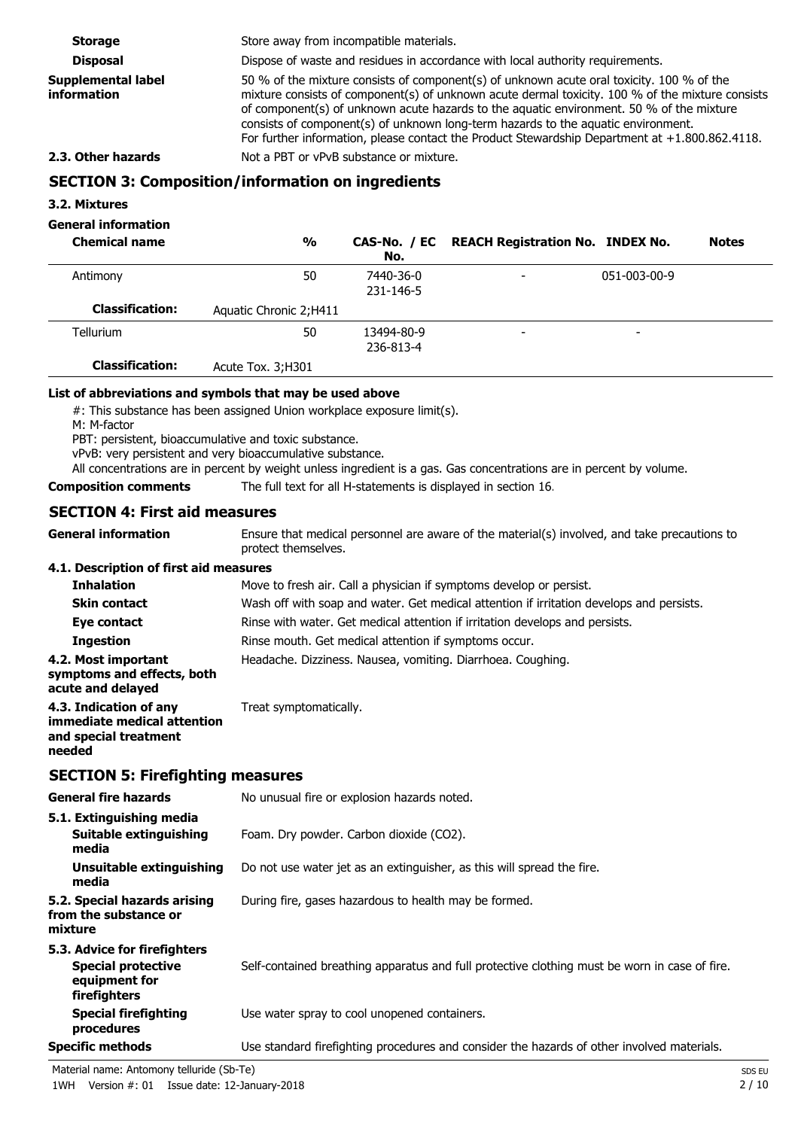**Storage** Store away from incompatible materials. **Disposal Dispose of waste and residues in accordance with local authority requirements. Supplemental label information** 50 % of the mixture consists of component(s) of unknown acute oral toxicity. 100 % of the mixture consists of component(s) of unknown acute dermal toxicity. 100 % of the mixture consists of component(s) of unknown acute hazards to the aquatic environment. 50 % of the mixture consists of component(s) of unknown long-term hazards to the aquatic environment. For further information, please contact the Product Stewardship Department at +1.800.862.4118. **2.3. Other hazards** Not a PBT or vPvB substance or mixture. **SECTION 3: Composition/information on ingredients 3.2. Mixtures General information**

| <b>Chemical name</b>   | $\frac{0}{0}$           | No.                     | CAS-No. / EC REACH Registration No. INDEX No. |                          | <b>Notes</b> |
|------------------------|-------------------------|-------------------------|-----------------------------------------------|--------------------------|--------------|
| Antimony               | 50                      | 7440-36-0<br>231-146-5  | $\overline{\phantom{a}}$                      | 051-003-00-9             |              |
| <b>Classification:</b> | Aquatic Chronic 2; H411 |                         |                                               |                          |              |
| <b>Tellurium</b>       | 50                      | 13494-80-9<br>236-813-4 | $\overline{\phantom{a}}$                      | $\overline{\phantom{0}}$ |              |
| <b>Classification:</b> | Acute Tox. 3; H301      |                         |                                               |                          |              |

#### **List of abbreviations and symbols that may be used above**

#: This substance has been assigned Union workplace exposure limit(s).

M: M-factor

PBT: persistent, bioaccumulative and toxic substance.

vPvB: very persistent and very bioaccumulative substance.

All concentrations are in percent by weight unless ingredient is a gas. Gas concentrations are in percent by volume.

**Composition comments** The full text for all H-statements is displayed in section 16.

## **SECTION 4: First aid measures**

Ensure that medical personnel are aware of the material(s) involved, and take precautions to protect themselves. **General information 4.1. Description of first aid measures**

| <b>Inhalation</b>                                                      | Move to fresh air. Call a physician if symptoms develop or persist.                      |
|------------------------------------------------------------------------|------------------------------------------------------------------------------------------|
| <b>Skin contact</b>                                                    | Wash off with soap and water. Get medical attention if irritation develops and persists. |
| Eye contact                                                            | Rinse with water. Get medical attention if irritation develops and persists.             |
| <b>Ingestion</b>                                                       | Rinse mouth. Get medical attention if symptoms occur.                                    |
| 4.2. Most important<br>symptoms and effects, both<br>acute and delayed | Headache. Dizziness. Nausea, vomiting. Diarrhoea. Coughing.                              |
| 4.3. Indication of any<br>immediate medical attention                  | Treat symptomatically.                                                                   |

# **needed SECTION 5: Firefighting measures**

**and special treatment**

| <b>General fire hazards</b>                                                                | No unusual fire or explosion hazards noted.                                                   |
|--------------------------------------------------------------------------------------------|-----------------------------------------------------------------------------------------------|
| 5.1. Extinguishing media<br>Suitable extinguishing<br>media                                | Foam. Dry powder. Carbon dioxide (CO2).                                                       |
| Unsuitable extinguishing<br>media                                                          | Do not use water jet as an extinguisher, as this will spread the fire.                        |
| 5.2. Special hazards arising<br>from the substance or<br>mixture                           | During fire, gases hazardous to health may be formed.                                         |
| 5.3. Advice for firefighters<br><b>Special protective</b><br>equipment for<br>firefighters | Self-contained breathing apparatus and full protective clothing must be worn in case of fire. |
| <b>Special firefighting</b><br>procedures                                                  | Use water spray to cool unopened containers.                                                  |
| <b>Specific methods</b>                                                                    | Use standard firefighting procedures and consider the hazards of other involved materials.    |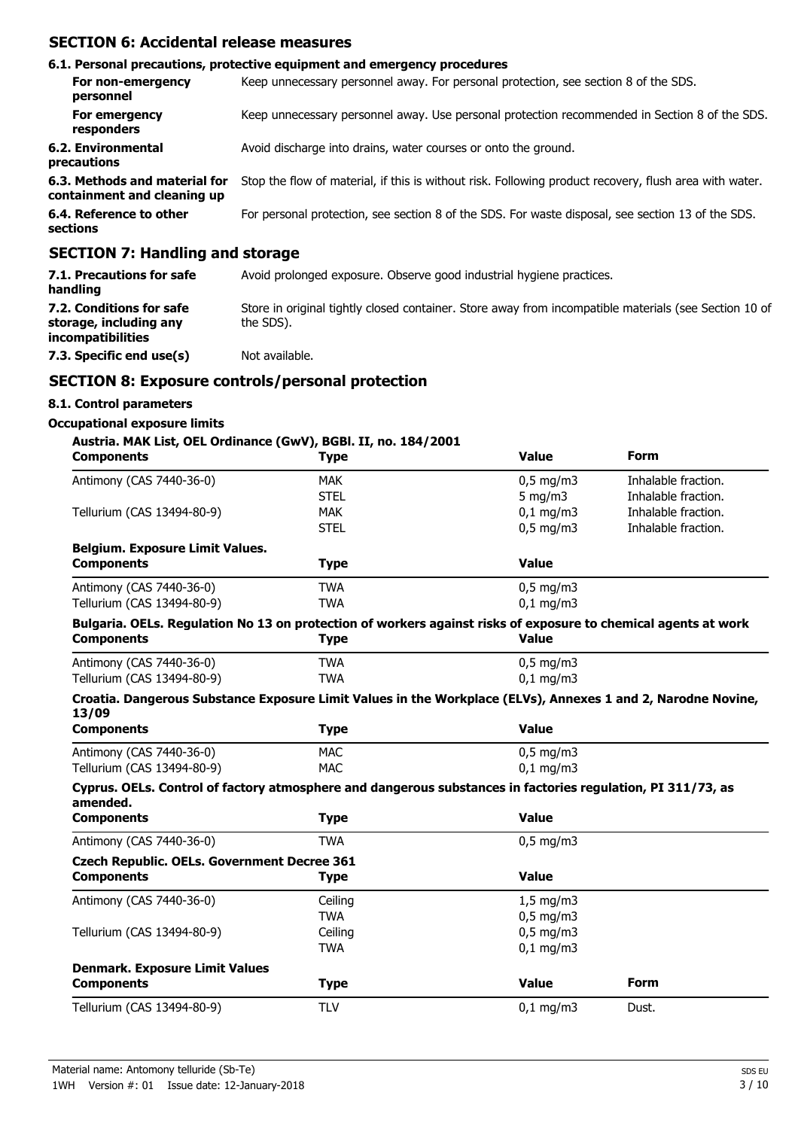# **SECTION 6: Accidental release measures**

|                                                              | 6.1. Personal precautions, protective equipment and emergency procedures                               |
|--------------------------------------------------------------|--------------------------------------------------------------------------------------------------------|
| For non-emergency<br>personnel                               | Keep unnecessary personnel away. For personal protection, see section 8 of the SDS.                    |
| For emergency<br>responders                                  | Keep unnecessary personnel away. Use personal protection recommended in Section 8 of the SDS.          |
| 6.2. Environmental<br>precautions                            | Avoid discharge into drains, water courses or onto the ground.                                         |
| 6.3. Methods and material for<br>containment and cleaning up | Stop the flow of material, if this is without risk. Following product recovery, flush area with water. |
| 6.4. Reference to other<br>sections                          | For personal protection, see section 8 of the SDS. For waste disposal, see section 13 of the SDS.      |
| $CPCTTOM.$ 7. Hemaling and starses                           |                                                                                                        |

# **SECTION 7: Handling and storage**

| 7.1. Precautions for safe<br>handling                                   | Avoid prolonged exposure. Observe good industrial hygiene practices.                                               |
|-------------------------------------------------------------------------|--------------------------------------------------------------------------------------------------------------------|
| 7.2. Conditions for safe<br>storage, including any<br>incompatibilities | Store in original tightly closed container. Store away from incompatible materials (see Section 10 of<br>the SDS). |
| 7.3. Specific end use(s)                                                | Not available.                                                                                                     |

# **SECTION 8: Exposure controls/personal protection**

# **8.1. Control parameters**

#### **Occupational exposure limits**

#### **Austria. MAK List, OEL Ordinance (GwV), BGBl. II, no. 184/2001**

| <b>Components</b>                                                                                                       | <b>Type</b> | <b>Value</b>         | <b>Form</b>         |
|-------------------------------------------------------------------------------------------------------------------------|-------------|----------------------|---------------------|
| Antimony (CAS 7440-36-0)                                                                                                | <b>MAK</b>  | $0,5$ mg/m3          | Inhalable fraction. |
|                                                                                                                         | <b>STEL</b> | 5 mg/m $3$           | Inhalable fraction. |
| Tellurium (CAS 13494-80-9)                                                                                              | <b>MAK</b>  | $0,1$ mg/m3          | Inhalable fraction. |
|                                                                                                                         | <b>STEL</b> | $0.5$ mg/m $3$       | Inhalable fraction. |
| <b>Belgium. Exposure Limit Values.</b>                                                                                  |             |                      |                     |
| <b>Components</b>                                                                                                       | <b>Type</b> | <b>Value</b>         |                     |
| Antimony (CAS 7440-36-0)                                                                                                | <b>TWA</b>  | $0.5$ mg/m3          |                     |
| Tellurium (CAS 13494-80-9)                                                                                              | <b>TWA</b>  | $0,1$ mg/m $3$       |                     |
| Bulgaria. OELs. Regulation No 13 on protection of workers against risks of exposure to chemical agents at work          |             |                      |                     |
| <b>Components</b>                                                                                                       | <b>Type</b> | <b>Value</b>         |                     |
| Antimony (CAS 7440-36-0)                                                                                                | <b>TWA</b>  | $0.5$ mg/m $3$       |                     |
| Tellurium (CAS 13494-80-9)                                                                                              | <b>TWA</b>  | $0,1$ mg/m3          |                     |
| Croatia. Dangerous Substance Exposure Limit Values in the Workplace (ELVs), Annexes 1 and 2, Narodne Novine,<br>13/09   |             |                      |                     |
| <b>Components</b>                                                                                                       | <b>Type</b> | <b>Value</b>         |                     |
| Antimony (CAS 7440-36-0)                                                                                                | <b>MAC</b>  | $0.5$ mg/m $3$       |                     |
| Tellurium (CAS 13494-80-9)                                                                                              | <b>MAC</b>  | $0,1$ mg/m $3$       |                     |
| Cyprus. OELs. Control of factory atmosphere and dangerous substances in factories regulation, PI 311/73, as<br>amended. |             |                      |                     |
| <b>Components</b>                                                                                                       | <b>Type</b> | <b>Value</b>         |                     |
| Antimony (CAS 7440-36-0)                                                                                                | <b>TWA</b>  | $0.5$ mg/m $3$       |                     |
| <b>Czech Republic. OELs. Government Decree 361</b>                                                                      |             |                      |                     |
| <b>Components</b>                                                                                                       | <b>Type</b> | <b>Value</b>         |                     |
| Antimony (CAS 7440-36-0)                                                                                                | Ceiling     | $1,5$ mg/m3          |                     |
|                                                                                                                         | <b>TWA</b>  | $0,5$ mg/m3          |                     |
| Tellurium (CAS 13494-80-9)                                                                                              | Ceiling     | $0,5$ mg/m3          |                     |
|                                                                                                                         | <b>TWA</b>  | $0,1$ mg/m3          |                     |
| <b>Denmark. Exposure Limit Values</b>                                                                                   |             |                      |                     |
| <b>Components</b>                                                                                                       | <b>Type</b> | <b>Value</b>         | Form                |
| Tellurium (CAS 13494-80-9)                                                                                              | <b>TLV</b>  | $0,1 \, \text{mg/m}$ | Dust.               |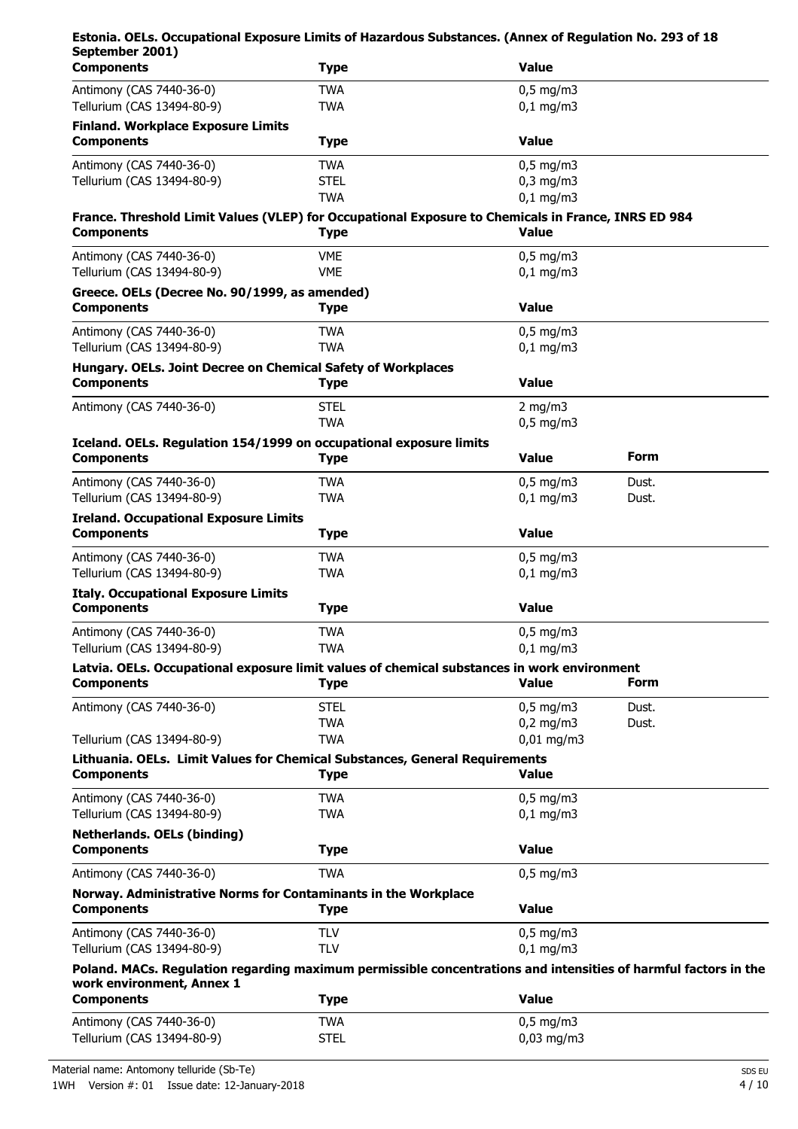| Estonia. OELs. Occupational Exposure Limits of Hazardous Substances. (Annex of Regulation No. 293 of 18                  |                          |                               |       |
|--------------------------------------------------------------------------------------------------------------------------|--------------------------|-------------------------------|-------|
| September 2001)<br><b>Components</b>                                                                                     | <b>Type</b>              | <b>Value</b>                  |       |
| Antimony (CAS 7440-36-0)                                                                                                 | <b>TWA</b>               | $0,5$ mg/m3                   |       |
| Tellurium (CAS 13494-80-9)                                                                                               | <b>TWA</b>               | $0,1$ mg/m3                   |       |
| <b>Finland. Workplace Exposure Limits</b>                                                                                |                          |                               |       |
| <b>Components</b>                                                                                                        | <b>Type</b>              | <b>Value</b>                  |       |
| Antimony (CAS 7440-36-0)                                                                                                 | <b>TWA</b>               | $0,5$ mg/m3                   |       |
| Tellurium (CAS 13494-80-9)                                                                                               | <b>STEL</b>              | $0,3$ mg/m $3$                |       |
|                                                                                                                          | <b>TWA</b>               | $0,1$ mg/m3                   |       |
| France. Threshold Limit Values (VLEP) for Occupational Exposure to Chemicals in France, INRS ED 984<br><b>Components</b> | <b>Type</b>              | <b>Value</b>                  |       |
|                                                                                                                          |                          |                               |       |
| Antimony (CAS 7440-36-0)                                                                                                 | <b>VME</b><br><b>VME</b> | $0,5$ mg/m3                   |       |
| Tellurium (CAS 13494-80-9)                                                                                               |                          | $0,1$ mg/m3                   |       |
| Greece. OELs (Decree No. 90/1999, as amended)<br><b>Components</b>                                                       | <b>Type</b>              | <b>Value</b>                  |       |
|                                                                                                                          |                          |                               |       |
| Antimony (CAS 7440-36-0)<br>Tellurium (CAS 13494-80-9)                                                                   | <b>TWA</b><br><b>TWA</b> | $0,5$ mg/m3<br>$0,1$ mg/m3    |       |
| Hungary. OELs. Joint Decree on Chemical Safety of Workplaces                                                             |                          |                               |       |
| <b>Components</b>                                                                                                        | <b>Type</b>              | <b>Value</b>                  |       |
| Antimony (CAS 7440-36-0)                                                                                                 | <b>STEL</b>              | 2 mg/m $3$                    |       |
|                                                                                                                          | <b>TWA</b>               | $0,5$ mg/m3                   |       |
| Iceland. OELs. Regulation 154/1999 on occupational exposure limits                                                       |                          |                               |       |
| <b>Components</b>                                                                                                        | <b>Type</b>              | <b>Value</b>                  | Form  |
| Antimony (CAS 7440-36-0)                                                                                                 | <b>TWA</b>               | $0,5$ mg/m3                   | Dust. |
| Tellurium (CAS 13494-80-9)                                                                                               | <b>TWA</b>               | $0,1$ mg/m3                   | Dust. |
| <b>Ireland. Occupational Exposure Limits</b>                                                                             |                          |                               |       |
| <b>Components</b>                                                                                                        | <b>Type</b>              | <b>Value</b>                  |       |
| Antimony (CAS 7440-36-0)                                                                                                 | <b>TWA</b>               | $0,5$ mg/m3                   |       |
| Tellurium (CAS 13494-80-9)                                                                                               | <b>TWA</b>               | $0,1$ mg/m3                   |       |
| <b>Italy. Occupational Exposure Limits</b>                                                                               |                          |                               |       |
| <b>Components</b>                                                                                                        | <b>Type</b>              | <b>Value</b>                  |       |
| Antimony (CAS 7440-36-0)                                                                                                 | <b>TWA</b>               | $0,5$ mg/m3                   |       |
| Tellurium (CAS 13494-80-9)                                                                                               | <b>TWA</b>               | $0,1$ mg/m3                   |       |
| Latvia. OELs. Occupational exposure limit values of chemical substances in work environment                              |                          |                               |       |
| <b>Components</b>                                                                                                        | <b>Type</b>              | <b>Value</b>                  | Form  |
| Antimony (CAS 7440-36-0)                                                                                                 | <b>STEL</b>              | $0.5$ mg/m $3$                | Dust. |
|                                                                                                                          | <b>TWA</b>               | $0,2$ mg/m $3$                | Dust. |
| Tellurium (CAS 13494-80-9)                                                                                               | <b>TWA</b>               | $0,01$ mg/m3                  |       |
| Lithuania. OELs. Limit Values for Chemical Substances, General Requirements<br><b>Components</b>                         | <b>Type</b>              | <b>Value</b>                  |       |
|                                                                                                                          |                          |                               |       |
| Antimony (CAS 7440-36-0)<br>Tellurium (CAS 13494-80-9)                                                                   | <b>TWA</b><br><b>TWA</b> | $0.5$ mg/m $3$<br>$0,1$ mg/m3 |       |
| <b>Netherlands. OELs (binding)</b>                                                                                       |                          |                               |       |
| <b>Components</b>                                                                                                        | <b>Type</b>              | <b>Value</b>                  |       |
| Antimony (CAS 7440-36-0)                                                                                                 | <b>TWA</b>               | $0,5$ mg/m3                   |       |
| Norway. Administrative Norms for Contaminants in the Workplace                                                           |                          |                               |       |
| <b>Components</b>                                                                                                        | <b>Type</b>              | <b>Value</b>                  |       |
| Antimony (CAS 7440-36-0)                                                                                                 | <b>TLV</b>               | $0,5$ mg/m3                   |       |
| Tellurium (CAS 13494-80-9)                                                                                               | <b>TLV</b>               | $0,1$ mg/m3                   |       |
| Poland. MACs. Regulation regarding maximum permissible concentrations and intensities of harmful factors in the          |                          |                               |       |
| work environment, Annex 1                                                                                                |                          |                               |       |
| <b>Components</b>                                                                                                        | <b>Type</b>              | <b>Value</b>                  |       |
| Antimony (CAS 7440-36-0)                                                                                                 | <b>TWA</b>               | $0,5$ mg/m3                   |       |
| Tellurium (CAS 13494-80-9)                                                                                               | <b>STEL</b>              | $0,03$ mg/m3                  |       |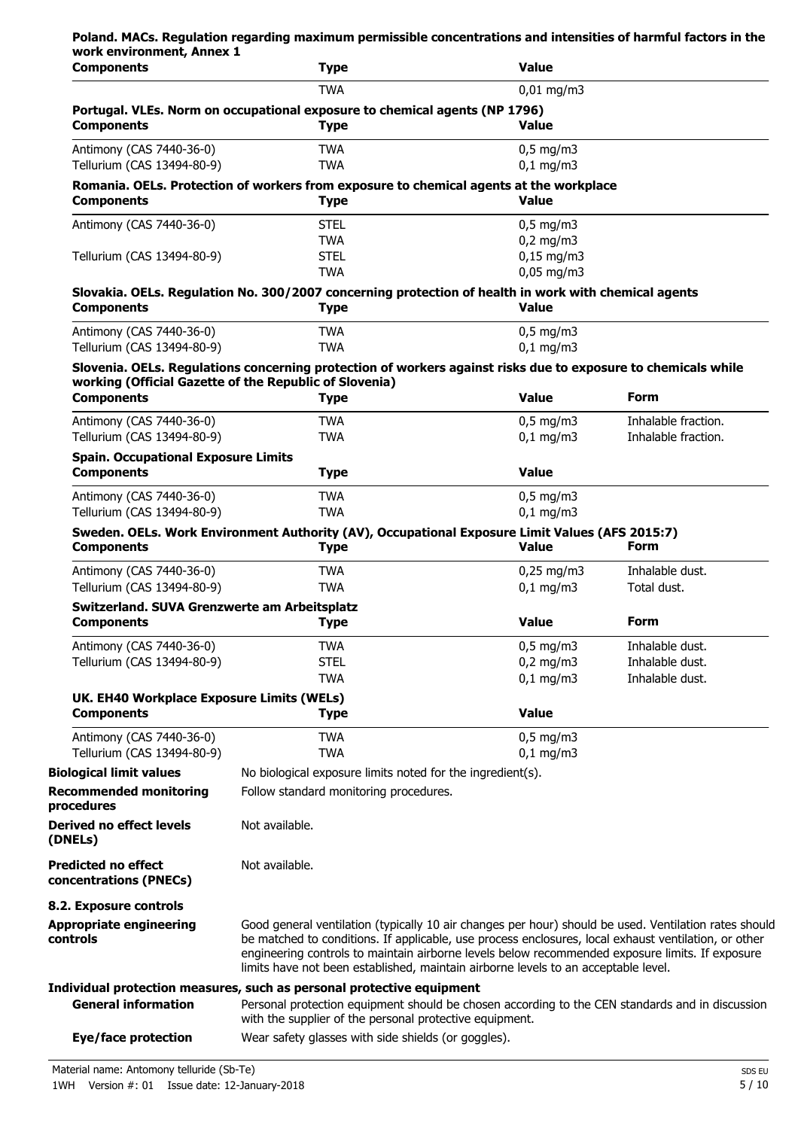| work environment, Annex 1<br><b>Components</b>                    | <b>Type</b>                                                                                                                                                                                                                                                                                                                                                                                            | <b>Value</b>               |                                            |
|-------------------------------------------------------------------|--------------------------------------------------------------------------------------------------------------------------------------------------------------------------------------------------------------------------------------------------------------------------------------------------------------------------------------------------------------------------------------------------------|----------------------------|--------------------------------------------|
|                                                                   | <b>TWA</b>                                                                                                                                                                                                                                                                                                                                                                                             | $0,01$ mg/m3               |                                            |
| <b>Components</b>                                                 | Portugal. VLEs. Norm on occupational exposure to chemical agents (NP 1796)<br><b>Type</b>                                                                                                                                                                                                                                                                                                              | <b>Value</b>               |                                            |
| Antimony (CAS 7440-36-0)<br>Tellurium (CAS 13494-80-9)            | <b>TWA</b><br><b>TWA</b>                                                                                                                                                                                                                                                                                                                                                                               | $0,5$ mg/m3<br>$0,1$ mg/m3 |                                            |
| <b>Components</b>                                                 | Romania. OELs. Protection of workers from exposure to chemical agents at the workplace<br><b>Type</b>                                                                                                                                                                                                                                                                                                  | <b>Value</b>               |                                            |
| Antimony (CAS 7440-36-0)                                          | <b>STEL</b>                                                                                                                                                                                                                                                                                                                                                                                            | $0,5$ mg/m3                |                                            |
|                                                                   | <b>TWA</b>                                                                                                                                                                                                                                                                                                                                                                                             | $0,2$ mg/m3                |                                            |
| Tellurium (CAS 13494-80-9)                                        | <b>STEL</b>                                                                                                                                                                                                                                                                                                                                                                                            | $0,15$ mg/m3               |                                            |
|                                                                   | <b>TWA</b>                                                                                                                                                                                                                                                                                                                                                                                             | $0.05$ mg/m3               |                                            |
| <b>Components</b>                                                 | Slovakia. OELs. Regulation No. 300/2007 concerning protection of health in work with chemical agents<br><b>Type</b>                                                                                                                                                                                                                                                                                    | <b>Value</b>               |                                            |
| Antimony (CAS 7440-36-0)<br>Tellurium (CAS 13494-80-9)            | <b>TWA</b><br><b>TWA</b>                                                                                                                                                                                                                                                                                                                                                                               | $0,5$ mg/m3<br>$0,1$ mg/m3 |                                            |
|                                                                   | Slovenia. OELs. Regulations concerning protection of workers against risks due to exposure to chemicals while<br>working (Official Gazette of the Republic of Slovenia)                                                                                                                                                                                                                                |                            |                                            |
| <b>Components</b>                                                 | <b>Type</b>                                                                                                                                                                                                                                                                                                                                                                                            | <b>Value</b>               | <b>Form</b>                                |
| Antimony (CAS 7440-36-0)<br>Tellurium (CAS 13494-80-9)            | <b>TWA</b><br><b>TWA</b>                                                                                                                                                                                                                                                                                                                                                                               | $0,5$ mg/m3<br>$0,1$ mg/m3 | Inhalable fraction.<br>Inhalable fraction. |
| <b>Spain. Occupational Exposure Limits</b><br><b>Components</b>   | <b>Type</b>                                                                                                                                                                                                                                                                                                                                                                                            | <b>Value</b>               |                                            |
| Antimony (CAS 7440-36-0)                                          | <b>TWA</b>                                                                                                                                                                                                                                                                                                                                                                                             | $0,5$ mg/m3                |                                            |
| Tellurium (CAS 13494-80-9)                                        | <b>TWA</b>                                                                                                                                                                                                                                                                                                                                                                                             | $0,1$ mg/m3                |                                            |
|                                                                   | Sweden. OELs. Work Environment Authority (AV), Occupational Exposure Limit Values (AFS 2015:7)                                                                                                                                                                                                                                                                                                         |                            |                                            |
| <b>Components</b>                                                 | <b>Type</b>                                                                                                                                                                                                                                                                                                                                                                                            | <b>Value</b>               | <b>Form</b>                                |
| Antimony (CAS 7440-36-0)                                          | <b>TWA</b>                                                                                                                                                                                                                                                                                                                                                                                             | $0,25$ mg/m3               | Inhalable dust.                            |
| Tellurium (CAS 13494-80-9)                                        | <b>TWA</b>                                                                                                                                                                                                                                                                                                                                                                                             | $0,1$ mg/m3                | Total dust.                                |
| Switzerland. SUVA Grenzwerte am Arbeitsplatz<br><b>Components</b> | <b>Type</b>                                                                                                                                                                                                                                                                                                                                                                                            | <b>Value</b>               | Form                                       |
| Antimony (CAS 7440-36-0)                                          | <b>TWA</b>                                                                                                                                                                                                                                                                                                                                                                                             | $0,5$ mg/m3                | Inhalable dust.                            |
| Tellurium (CAS 13494-80-9)                                        | <b>STEL</b>                                                                                                                                                                                                                                                                                                                                                                                            | $0,2$ mg/m3                | Inhalable dust.                            |
|                                                                   | <b>TWA</b>                                                                                                                                                                                                                                                                                                                                                                                             | $0,1$ mg/m3                | Inhalable dust.                            |
| UK. EH40 Workplace Exposure Limits (WELs)                         |                                                                                                                                                                                                                                                                                                                                                                                                        |                            |                                            |
| <b>Components</b>                                                 | <b>Type</b>                                                                                                                                                                                                                                                                                                                                                                                            | <b>Value</b>               |                                            |
| Antimony (CAS 7440-36-0)<br>Tellurium (CAS 13494-80-9)            | <b>TWA</b><br><b>TWA</b>                                                                                                                                                                                                                                                                                                                                                                               | $0.5$ mg/m3<br>$0,1$ mg/m3 |                                            |
| <b>Biological limit values</b>                                    | No biological exposure limits noted for the ingredient(s).                                                                                                                                                                                                                                                                                                                                             |                            |                                            |
| <b>Recommended monitoring</b><br>procedures                       | Follow standard monitoring procedures.                                                                                                                                                                                                                                                                                                                                                                 |                            |                                            |
| <b>Derived no effect levels</b><br>(DNELs)                        | Not available.                                                                                                                                                                                                                                                                                                                                                                                         |                            |                                            |
| <b>Predicted no effect</b><br>concentrations (PNECs)              | Not available.                                                                                                                                                                                                                                                                                                                                                                                         |                            |                                            |
| 8.2. Exposure controls                                            |                                                                                                                                                                                                                                                                                                                                                                                                        |                            |                                            |
| <b>Appropriate engineering</b><br>controls                        | Good general ventilation (typically 10 air changes per hour) should be used. Ventilation rates should<br>be matched to conditions. If applicable, use process enclosures, local exhaust ventilation, or other<br>engineering controls to maintain airborne levels below recommended exposure limits. If exposure<br>limits have not been established, maintain airborne levels to an acceptable level. |                            |                                            |
|                                                                   | Individual protection measures, such as personal protective equipment                                                                                                                                                                                                                                                                                                                                  |                            |                                            |
| <b>General information</b>                                        | Personal protection equipment should be chosen according to the CEN standards and in discussion<br>with the supplier of the personal protective equipment.                                                                                                                                                                                                                                             |                            |                                            |
| <b>Eye/face protection</b>                                        | Wear safety glasses with side shields (or goggles).                                                                                                                                                                                                                                                                                                                                                    |                            |                                            |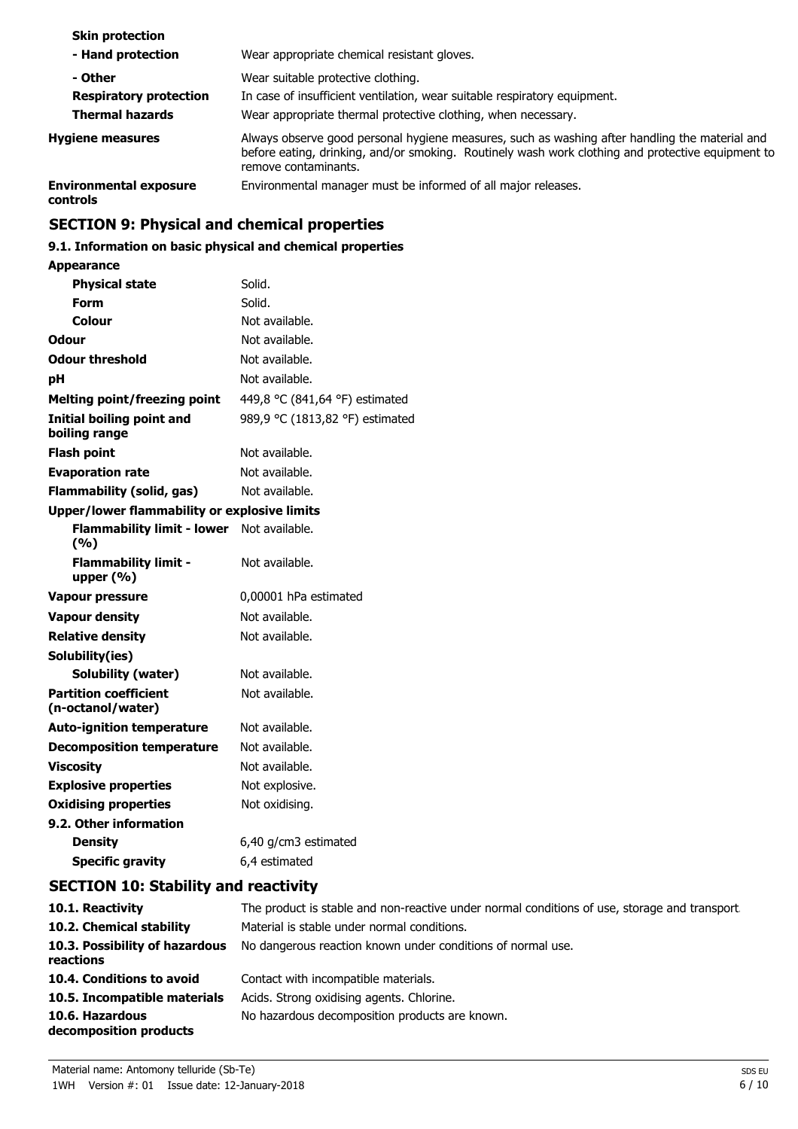| <b>Skin protection</b>                    |                                                                                                                                                                                                                             |
|-------------------------------------------|-----------------------------------------------------------------------------------------------------------------------------------------------------------------------------------------------------------------------------|
| - Hand protection                         | Wear appropriate chemical resistant gloves.                                                                                                                                                                                 |
| - Other                                   | Wear suitable protective clothing.                                                                                                                                                                                          |
| <b>Respiratory protection</b>             | In case of insufficient ventilation, wear suitable respiratory equipment.                                                                                                                                                   |
| <b>Thermal hazards</b>                    | Wear appropriate thermal protective clothing, when necessary.                                                                                                                                                               |
| <b>Hygiene measures</b>                   | Always observe good personal hygiene measures, such as washing after handling the material and<br>before eating, drinking, and/or smoking. Routinely wash work clothing and protective equipment to<br>remove contaminants. |
| <b>Environmental exposure</b><br>controls | Environmental manager must be informed of all major releases.                                                                                                                                                               |

# **SECTION 9: Physical and chemical properties**

# **9.1. Information on basic physical and chemical properties**

# **Appearance**

| <b>Physical state</b>                             | Solid.                          |
|---------------------------------------------------|---------------------------------|
| Form                                              | Solid.                          |
| Colour                                            | Not available.                  |
| <b>Odour</b>                                      | Not available.                  |
| <b>Odour threshold</b>                            | Not available.                  |
| рH                                                | Not available.                  |
| <b>Melting point/freezing point</b>               | 449,8 °C (841,64 °F) estimated  |
| <b>Initial boiling point and</b><br>boiling range | 989,9 °C (1813,82 °F) estimated |
| <b>Flash point</b>                                | Not available.                  |
| <b>Evaporation rate</b>                           | Not available.                  |
| <b>Flammability (solid, gas)</b>                  | Not available.                  |
| Upper/lower flammability or explosive limits      |                                 |
| <b>Flammability limit - lower</b><br>(9/6)        | Not available.                  |
| <b>Flammability limit -</b><br>upper $(% )$       | Not available.                  |
| <b>Vapour pressure</b>                            | 0,00001 hPa estimated           |
| <b>Vapour density</b>                             | Not available.                  |
| <b>Relative density</b>                           | Not available.                  |
| Solubility(ies)                                   |                                 |
| <b>Solubility (water)</b>                         | Not available.                  |
| <b>Partition coefficient</b><br>(n-octanol/water) | Not available.                  |
| <b>Auto-ignition temperature</b>                  | Not available.                  |
| <b>Decomposition temperature</b>                  | Not available.                  |
| <b>Viscosity</b>                                  | Not available.                  |
| <b>Explosive properties</b>                       | Not explosive.                  |
| <b>Oxidising properties</b>                       | Not oxidising.                  |
| 9.2. Other information                            |                                 |
| <b>Density</b>                                    | 6,40 g/cm3 estimated            |
| <b>Specific gravity</b>                           | 6,4 estimated                   |

# **SECTION 10: Stability and reactivity**

| 10.1. Reactivity                            | The product is stable and non-reactive under normal conditions of use, storage and transport |
|---------------------------------------------|----------------------------------------------------------------------------------------------|
| 10.2. Chemical stability                    | Material is stable under normal conditions.                                                  |
| 10.3. Possibility of hazardous<br>reactions | No dangerous reaction known under conditions of normal use.                                  |
| 10.4. Conditions to avoid                   | Contact with incompatible materials.                                                         |
| 10.5. Incompatible materials                | Acids. Strong oxidising agents. Chlorine.                                                    |
| 10.6. Hazardous<br>decomposition products   | No hazardous decomposition products are known.                                               |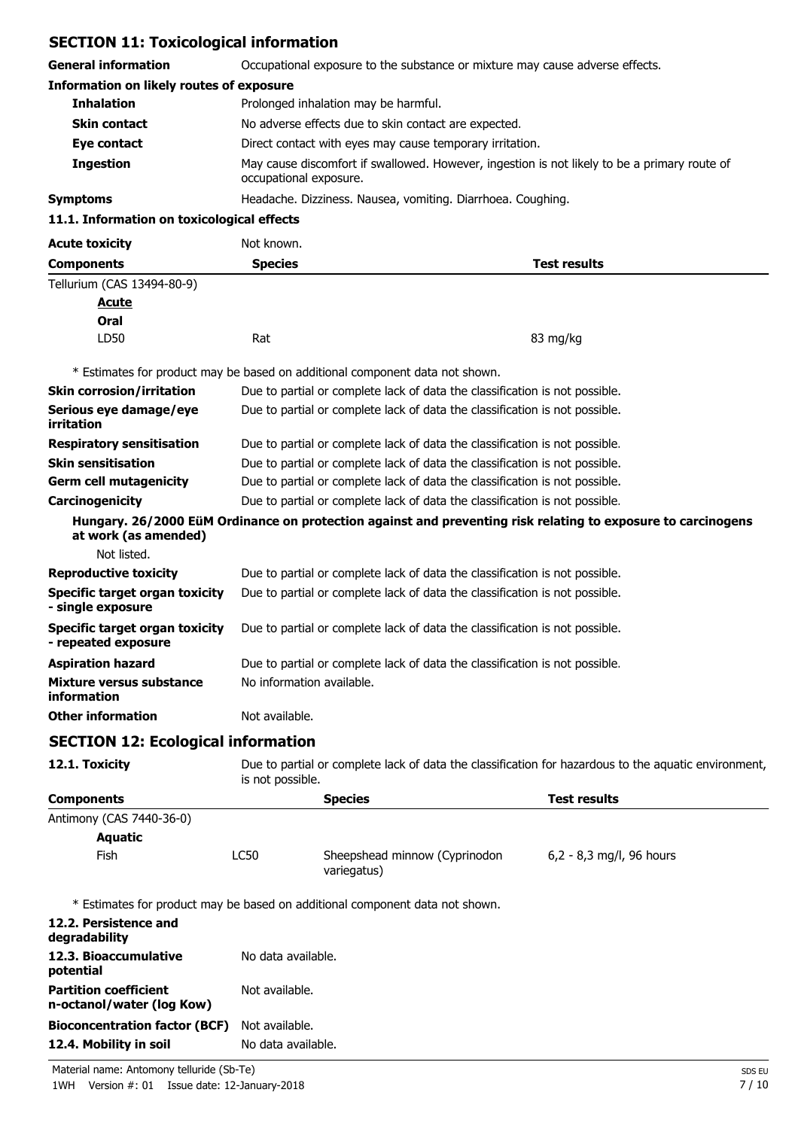# **SECTION 11: Toxicological information**

| <b>General information</b>                                   |                           | Occupational exposure to the substance or mixture may cause adverse effects.                                           |                            |
|--------------------------------------------------------------|---------------------------|------------------------------------------------------------------------------------------------------------------------|----------------------------|
| <b>Information on likely routes of exposure</b>              |                           |                                                                                                                        |                            |
| <b>Inhalation</b>                                            |                           | Prolonged inhalation may be harmful.                                                                                   |                            |
| <b>Skin contact</b>                                          |                           | No adverse effects due to skin contact are expected.                                                                   |                            |
| Eye contact                                                  |                           | Direct contact with eyes may cause temporary irritation.                                                               |                            |
| <b>Ingestion</b>                                             |                           | May cause discomfort if swallowed. However, ingestion is not likely to be a primary route of<br>occupational exposure. |                            |
| <b>Symptoms</b>                                              |                           | Headache. Dizziness. Nausea, vomiting. Diarrhoea. Coughing.                                                            |                            |
| 11.1. Information on toxicological effects                   |                           |                                                                                                                        |                            |
| <b>Acute toxicity</b>                                        | Not known.                |                                                                                                                        |                            |
| <b>Components</b>                                            | <b>Species</b>            |                                                                                                                        | <b>Test results</b>        |
| Tellurium (CAS 13494-80-9)                                   |                           |                                                                                                                        |                            |
| <u>Acute</u>                                                 |                           |                                                                                                                        |                            |
| Oral                                                         |                           |                                                                                                                        |                            |
| LD50                                                         | Rat                       |                                                                                                                        | 83 mg/kg                   |
|                                                              |                           |                                                                                                                        |                            |
|                                                              |                           | * Estimates for product may be based on additional component data not shown.                                           |                            |
| <b>Skin corrosion/irritation</b>                             |                           | Due to partial or complete lack of data the classification is not possible.                                            |                            |
| Serious eye damage/eye<br>irritation                         |                           | Due to partial or complete lack of data the classification is not possible.                                            |                            |
| <b>Respiratory sensitisation</b>                             |                           | Due to partial or complete lack of data the classification is not possible.                                            |                            |
| <b>Skin sensitisation</b>                                    |                           | Due to partial or complete lack of data the classification is not possible.                                            |                            |
| <b>Germ cell mutagenicity</b>                                |                           | Due to partial or complete lack of data the classification is not possible.                                            |                            |
| Carcinogenicity                                              |                           | Due to partial or complete lack of data the classification is not possible.                                            |                            |
| at work (as amended)                                         |                           | Hungary. 26/2000 EüM Ordinance on protection against and preventing risk relating to exposure to carcinogens           |                            |
| Not listed.                                                  |                           |                                                                                                                        |                            |
| <b>Reproductive toxicity</b>                                 |                           | Due to partial or complete lack of data the classification is not possible.                                            |                            |
| <b>Specific target organ toxicity</b><br>- single exposure   |                           | Due to partial or complete lack of data the classification is not possible.                                            |                            |
| <b>Specific target organ toxicity</b><br>- repeated exposure |                           | Due to partial or complete lack of data the classification is not possible.                                            |                            |
| <b>Aspiration hazard</b>                                     |                           | Due to partial or complete lack of data the classification is not possible.                                            |                            |
| <b>Mixture versus substance</b><br>information               | No information available. |                                                                                                                        |                            |
| <b>Other information</b>                                     | Not available.            |                                                                                                                        |                            |
| <b>SECTION 12: Ecological information</b>                    |                           |                                                                                                                        |                            |
| 12.1. Toxicity                                               | is not possible.          | Due to partial or complete lack of data the classification for hazardous to the aquatic environment,                   |                            |
| <b>Components</b>                                            |                           | <b>Species</b>                                                                                                         | <b>Test results</b>        |
| Antimony (CAS 7440-36-0)                                     |                           |                                                                                                                        |                            |
| <b>Aquatic</b>                                               |                           |                                                                                                                        |                            |
| Fish                                                         | LC50                      | Sheepshead minnow (Cyprinodon<br>variegatus)                                                                           | $6,2 - 8,3$ mg/l, 96 hours |
|                                                              |                           | * Estimates for product may be based on additional component data not shown.                                           |                            |
| 12.2. Persistence and                                        |                           |                                                                                                                        |                            |
| degradability<br>12.3. Bioaccumulative                       | No data available.        |                                                                                                                        |                            |
| potential                                                    |                           |                                                                                                                        |                            |
| <b>Partition coefficient</b><br>n-octanol/water (log Kow)    | Not available.            |                                                                                                                        |                            |
| <b>Bioconcentration factor (BCF)</b>                         | Not available.            |                                                                                                                        |                            |

**12.4. Mobility in soil** No data available.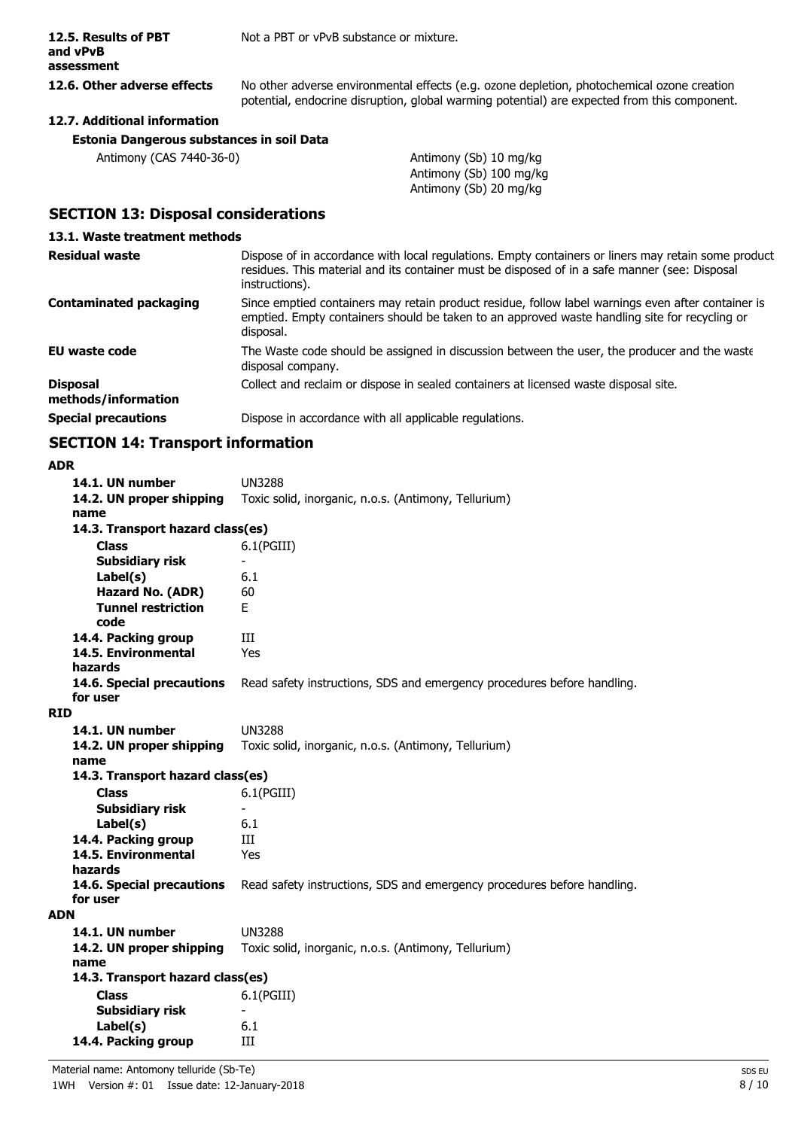Not a PBT or vPvB substance or mixture.

#### **12.5. Results of PBT and vPvB assessment**

**12.6. Other adverse effects** No other adverse environmental effects (e.g. ozone depletion, photochemical ozone creation potential, endocrine disruption, global warming potential) are expected from this component.

# **12.7. Additional information**

| Antimony (CAS 7440-36-0) | Antimony (Sb) 10 mg/kg  |
|--------------------------|-------------------------|
|                          | Antimony (Sb) 100 mg/kg |
|                          | Antimony (Sb) 20 mg/kg  |

# **SECTION 13: Disposal considerations**

#### **13.1. Waste treatment methods**

| <b>Residual waste</b>                  | Dispose of in accordance with local regulations. Empty containers or liners may retain some product<br>residues. This material and its container must be disposed of in a safe manner (see: Disposal<br>instructions). |
|----------------------------------------|------------------------------------------------------------------------------------------------------------------------------------------------------------------------------------------------------------------------|
| <b>Contaminated packaging</b>          | Since emptied containers may retain product residue, follow label warnings even after container is<br>emptied. Empty containers should be taken to an approved waste handling site for recycling or<br>disposal.       |
| <b>EU waste code</b>                   | The Waste code should be assigned in discussion between the user, the producer and the waste<br>disposal company.                                                                                                      |
| <b>Disposal</b><br>methods/information | Collect and reclaim or dispose in sealed containers at licensed waste disposal site.                                                                                                                                   |
| <b>Special precautions</b>             | Dispose in accordance with all applicable regulations.                                                                                                                                                                 |

# **SECTION 14: Transport information**

#### **ADR**

| 14.1. UN number                   | <b>UN3288</b>                                                           |  |
|-----------------------------------|-------------------------------------------------------------------------|--|
| 14.2. UN proper shipping          | Toxic solid, inorganic, n.o.s. (Antimony, Tellurium)                    |  |
| name                              |                                                                         |  |
| 14.3. Transport hazard class(es)  |                                                                         |  |
| Class                             | $6.1$ (PGIII)                                                           |  |
| Subsidiary risk                   |                                                                         |  |
| Label(s)                          | 6.1                                                                     |  |
| Hazard No. (ADR)                  | 60                                                                      |  |
| <b>Tunnel restriction</b><br>code | F.                                                                      |  |
| 14.4. Packing group               | Ш                                                                       |  |
| 14.5. Environmental               | Yes                                                                     |  |
| hazards                           |                                                                         |  |
| 14.6. Special precautions         | Read safety instructions, SDS and emergency procedures before handling. |  |
| for user                          |                                                                         |  |
| RID                               |                                                                         |  |
| 14.1. UN number                   | <b>UN3288</b>                                                           |  |
| 14.2. UN proper shipping<br>name  | Toxic solid, inorganic, n.o.s. (Antimony, Tellurium)                    |  |
| 14.3. Transport hazard class(es)  |                                                                         |  |
| <b>Class</b>                      | 6.1(PGIII)                                                              |  |
| <b>Subsidiary risk</b>            | $\blacksquare$                                                          |  |
| Label(s)                          | 6.1                                                                     |  |
| 14.4. Packing group               | Ш                                                                       |  |
| 14.5. Environmental               | Yes                                                                     |  |
| hazards                           |                                                                         |  |
| 14.6. Special precautions         | Read safety instructions, SDS and emergency procedures before handling. |  |
| for user                          |                                                                         |  |
| <b>ADN</b>                        |                                                                         |  |
| 14.1. UN number                   | <b>UN3288</b>                                                           |  |
| 14.2. UN proper shipping          | Toxic solid, inorganic, n.o.s. (Antimony, Tellurium)                    |  |
| name                              |                                                                         |  |
| 14.3. Transport hazard class(es)  |                                                                         |  |
| <b>Class</b>                      | 6.1(PGIII)                                                              |  |
| <b>Subsidiary risk</b>            | $\overline{\phantom{a}}$                                                |  |
| Label(s)                          | 6.1                                                                     |  |
| 14.4. Packing group               | Ш                                                                       |  |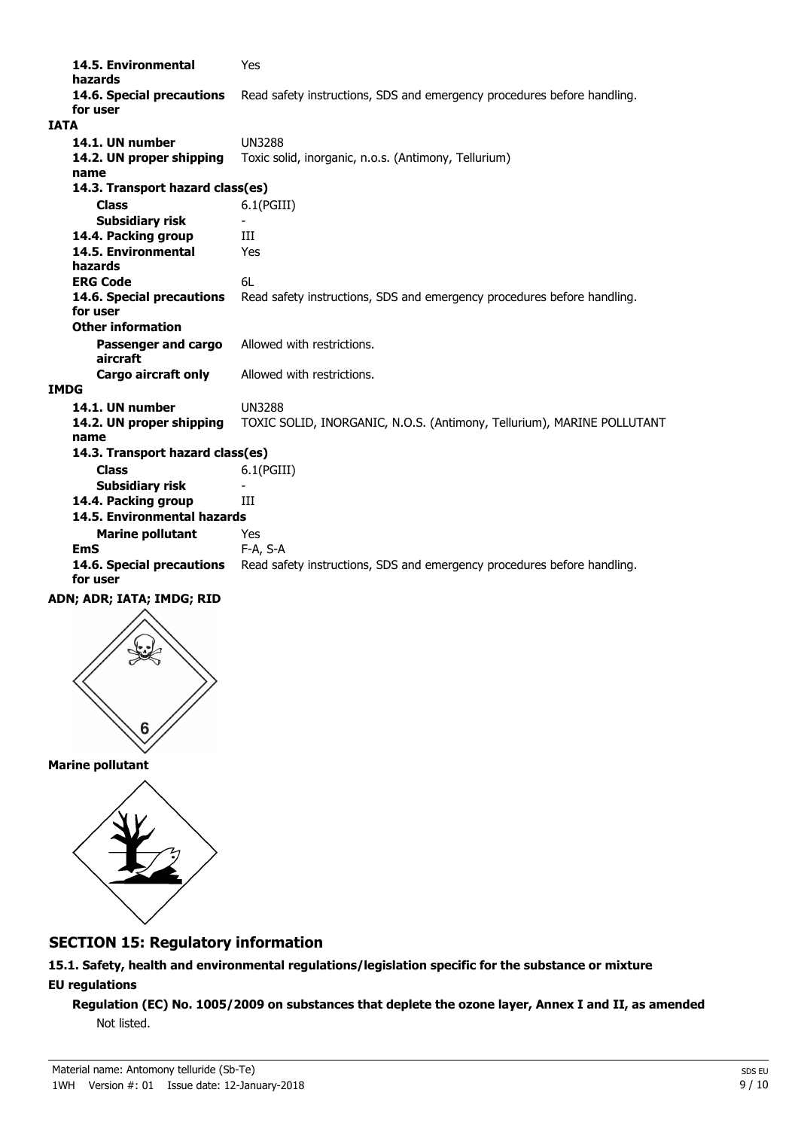**14.5. Environmental** Yes **hazards 14.6. Special precautions** Read safety instructions, SDS and emergency procedures before handling. **for user IATA 14.1. UN number** UN3288 **14.2. UN proper shipping** Toxic solid, inorganic, n.o.s. (Antimony, Tellurium) **name Class** 6.1(PGIII) **14.3. Transport hazard class(es) Subsidiary risk 14.4. Packing group III 14.5. Environmental** Yes **hazards ERG Code** 6L **14.6. Special precautions** Read safety instructions, SDS and emergency procedures before handling. **for user Passenger and cargo** Allowed with restrictions. **aircraft Other information Cargo aircraft only** Allowed with restrictions. **IMDG 14.1. UN number** UN3288 **14.2. UN proper shipping** TOXIC SOLID, INORGANIC, N.O.S. (Antimony, Tellurium), MARINE POLLUTANT **name Class** 6.1(PGIII) **14.3. Transport hazard class(es) Subsidiary risk 14.4. Packing group III Marine pollutant** Yes **14.5. Environmental hazards EmS** F-A, S-A 14.6. Special precautions Read safety instructions, SDS and emergency procedures before handling. **for user**





**Marine pollutant**



# **SECTION 15: Regulatory information**

**15.1. Safety, health and environmental regulations/legislation specific for the substance or mixture EU regulations**

**Regulation (EC) No. 1005/2009 on substances that deplete the ozone layer, Annex I and II, as amended** Not listed.